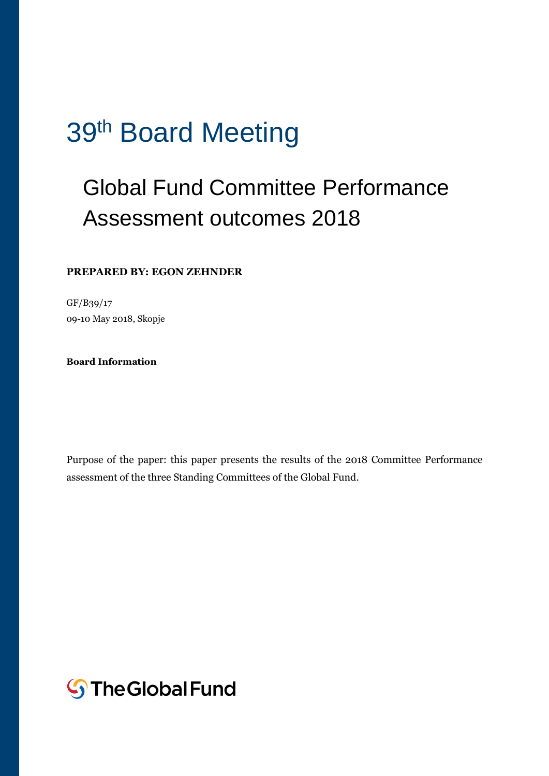# 39<sup>th</sup> Board Meeting

## Global Fund Committee Performance Assessment outcomes 2018

#### **PREPARED BY: EGON ZEHNDER**

GF/B39/17 09-10 May 2018, Skopje

**Board Information** 

Purpose of the paper: this paper presents the results of the 2018 Committee Performance assessment of the three Standing Committees of the Global Fund.

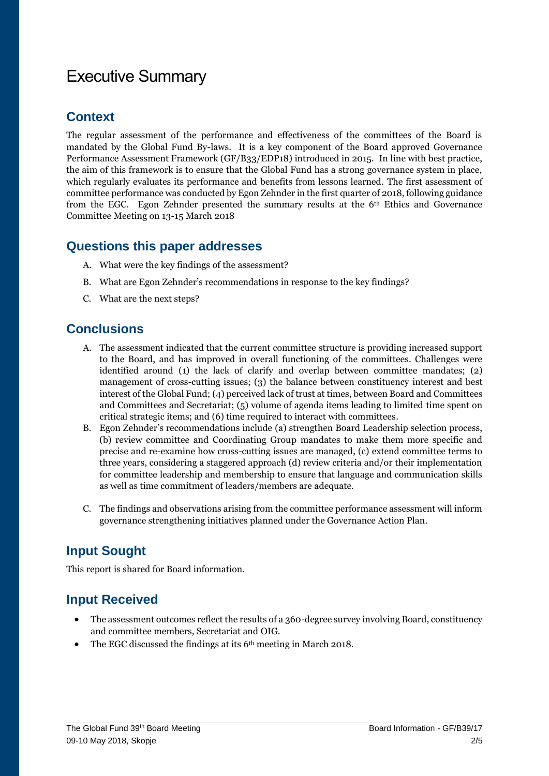### Executive Summary

#### **Context**

The regular assessment of the performance and effectiveness of the committees of the Board is mandated by the Global Fund By-laws. It is a key component of the Board approved Governance Performance Assessment Framework (GF/B33/EDP18) introduced in 2015. In line with best practice, the aim of this framework is to ensure that the Global Fund has a strong governance system in place, which regularly evaluates its performance and benefits from lessons learned. The first assessment of committee performance was conducted by Egon Zehnder in the first quarter of 2018, following guidance from the EGC. Egon Zehnder presented the summary results at the 6th Ethics and Governance Committee Meeting on 13-15 March 2018

#### **Questions this paper addresses**

- A. What were the key findings of the assessment?
- B. What are Egon Zehnder's recommendations in response to the key findings?
- C. What are the next steps?

#### **Conclusions**

- A. The assessment indicated that the current committee structure is providing increased support to the Board, and has improved in overall functioning of the committees. Challenges were identified around (1) the lack of clarify and overlap between committee mandates; (2) management of cross-cutting issues; (3) the balance between constituency interest and best interest of the Global Fund; (4) perceived lack of trust at times, between Board and Committees and Committees and Secretariat; (5) volume of agenda items leading to limited time spent on critical strategic items; and (6) time required to interact with committees.
- B. Egon Zehnder's recommendations include (a) strengthen Board Leadership selection process, (b) review committee and Coordinating Group mandates to make them more specific and precise and re-examine how cross-cutting issues are managed, (c) extend committee terms to three years, considering a staggered approach (d) review criteria and/or their implementation for committee leadership and membership to ensure that language and communication skills as well as time commitment of leaders/members are adequate.
- C. The findings and observations arising from the committee performance assessment will inform governance strengthening initiatives planned under the Governance Action Plan.

#### **Input Sought**

This report is shared for Board information.

#### **Input Received**

- The assessment outcomes reflect the results of a 360-degree survey involving Board, constituency and committee members, Secretariat and OIG.
- $\bullet$  The EGC discussed the findings at its 6<sup>th</sup> meeting in March 2018.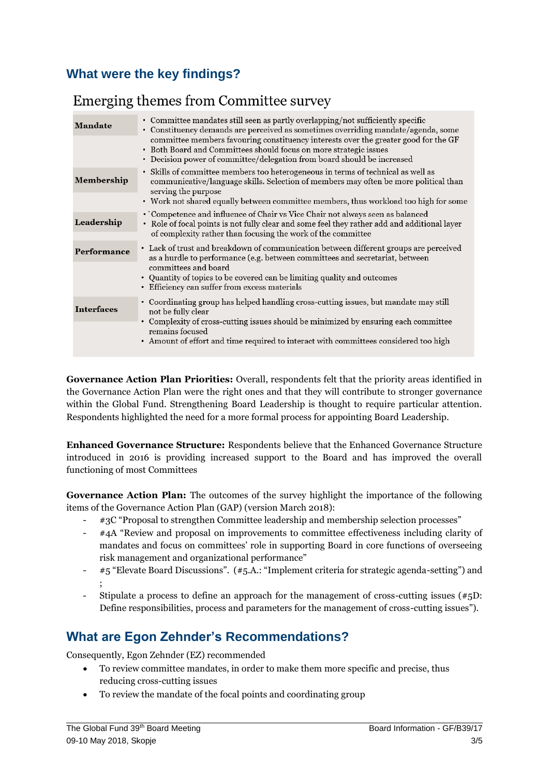#### **What were the key findings?**

#### Emerging themes from Committee survey

| <b>Mandate</b>    | • Committee mandates still seen as partly overlapping/not sufficiently specific<br>• Constituency demands are perceived as sometimes overriding mandate/agenda, some<br>committee members favouring constituency interests over the greater good for the GF<br>• Both Board and Committees should focus on more strategic issues<br>• Decision power of committee/delegation from board should be increased |
|-------------------|-------------------------------------------------------------------------------------------------------------------------------------------------------------------------------------------------------------------------------------------------------------------------------------------------------------------------------------------------------------------------------------------------------------|
| Membership        | • Skills of committee members too heterogeneous in terms of technical as well as<br>communicative/language skills. Selection of members may often be more political than<br>serving the purpose<br>• Work not shared equally between committee members, thus workload too high for some                                                                                                                     |
| Leadership        | • Competence and influence of Chair vs Vice Chair not always seen as balanced<br>• Role of focal points is not fully clear and some feel they rather add and additional layer<br>of complexity rather than focusing the work of the committee                                                                                                                                                               |
| Performance       | • Lack of trust and breakdown of communication between different groups are perceived<br>as a hurdle to performance (e.g. between committees and secretariat, between<br>committees and board<br>• Quantity of topics to be covered can be limiting quality and outcomes<br>• Efficiency can suffer from excess materials                                                                                   |
| <b>Interfaces</b> | • Coordinating group has helped handling cross-cutting issues, but mandate may still<br>not be fully clear<br>Complexity of cross-cutting issues should be minimized by ensuring each committee<br>remains focused<br>• Amount of effort and time required to interact with committees considered too high                                                                                                  |

**Governance Action Plan Priorities:** Overall, respondents felt that the priority areas identified in the Governance Action Plan were the right ones and that they will contribute to stronger governance within the Global Fund. Strengthening Board Leadership is thought to require particular attention. Respondents highlighted the need for a more formal process for appointing Board Leadership.

**Enhanced Governance Structure:** Respondents believe that the Enhanced Governance Structure introduced in 2016 is providing increased support to the Board and has improved the overall functioning of most Committees

**Governance Action Plan:** The outcomes of the survey highlight the importance of the following items of the Governance Action Plan (GAP) (version March 2018):

- #3C "Proposal to strengthen Committee leadership and membership selection processes"
- #4A "Review and proposal on improvements to committee effectiveness including clarity of mandates and focus on committees' role in supporting Board in core functions of overseeing risk management and organizational performance"
- #5 "Elevate Board Discussions". (#5.A.: "Implement criteria for strategic agenda-setting") and ;
- Stipulate a process to define an approach for the management of cross-cutting issues  $(*<sub>5</sub>D$ : Define responsibilities, process and parameters for the management of cross-cutting issues").

#### **What are Egon Zehnder's Recommendations?**

Consequently, Egon Zehnder (EZ) recommended

- To review committee mandates, in order to make them more specific and precise, thus reducing cross-cutting issues
- To review the mandate of the focal points and coordinating group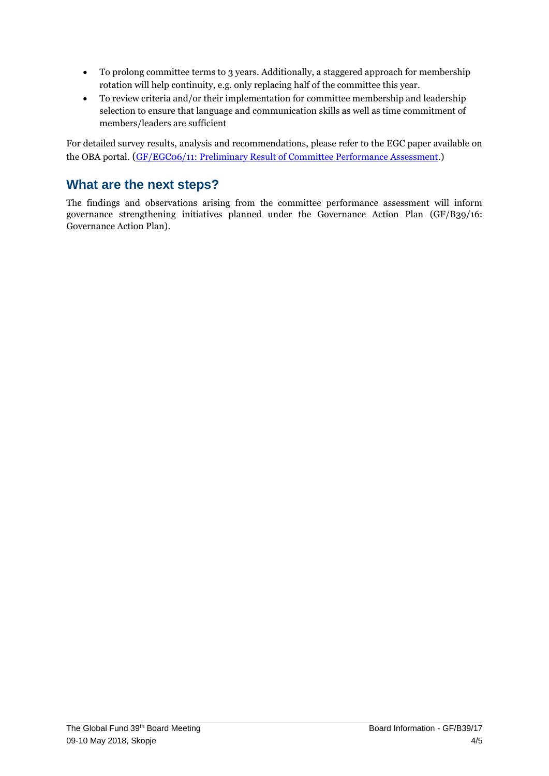- To prolong committee terms to 3 years. Additionally, a staggered approach for membership rotation will help continuity, e.g. only replacing half of the committee this year.
- To review criteria and/or their implementation for committee membership and leadership selection to ensure that language and communication skills as well as time commitment of members/leaders are sufficient

For detailed survey results, analysis and recommendations, please refer to the EGC paper available on the OBA portal. (GF/EGC06/11: [Preliminary Result of Committee Performance Assessment.](https://tgf.sharepoint.com/sites/ESOBA1/GFBC/EthicsandGovernanceCommitteeEGC/Forms/AllItems.aspx?RootFolder=%2Fsites%2FESOBA1%2FGFBC%2FEthicsandGovernanceCommitteeEGC%2FMeeting%20Documents%2FEGC06%5FMeeting%20Documents%2FWorking%20Documents&FolderCTID=0x012000C1C929A46EAAD44FA511FF0F17C6760500B580F4EE8C7FEF42BB5B36638EFDF19E&View=%7B266C69E3%2DE8EC%2D4997%2DB467%2D01B4A152B7BB%7D))

#### **What are the next steps?**

The findings and observations arising from the committee performance assessment will inform governance strengthening initiatives planned under the Governance Action Plan (GF/B39/16: Governance Action Plan).